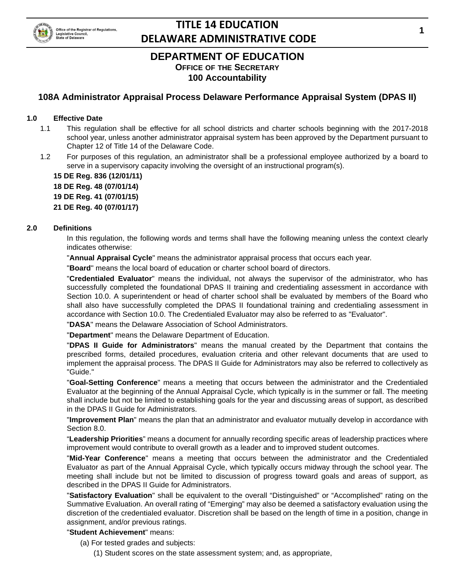

### **DEPARTMENT OF EDUCATION OFFICE OF THE SECRETARY 100 Accountability**

### **108A Administrator Appraisal Process Delaware Performance Appraisal System (DPAS II)**

#### **1.0 Effective Date**

- 1.1 This regulation shall be effective for all school districts and charter schools beginning with the 2017-2018 school year, unless another administrator appraisal system has been approved by the Department pursuant to Chapter 12 of Title 14 of the Delaware Code.
- 1.2 For purposes of this regulation, an administrator shall be a professional employee authorized by a board to serve in a supervisory capacity involving the oversight of an instructional program(s).

**15 DE Reg. 836 (12/01/11) 18 DE Reg. 48 (07/01/14)**

**19 DE Reg. 41 (07/01/15)**

**21 DE Reg. 40 (07/01/17)**

#### **2.0 Definitions**

In this regulation, the following words and terms shall have the following meaning unless the context clearly indicates otherwise:

"**Annual Appraisal Cycle**" means the administrator appraisal process that occurs each year.

"**Board**" means the local board of education or charter school board of directors.

"**Credentialed Evaluator**" means the individual, not always the supervisor of the administrator, who has successfully completed the foundational DPAS II training and credentialing assessment in accordance with Section 10.0. A superintendent or head of charter school shall be evaluated by members of the Board who shall also have successfully completed the DPAS II foundational training and credentialing assessment in accordance with Section 10.0. The Credentialed Evaluator may also be referred to as "Evaluator".

"**DASA**" means the Delaware Association of School Administrators.

"**Department**" means the Delaware Department of Education.

"**DPAS II Guide for Administrators**" means the manual created by the Department that contains the prescribed forms, detailed procedures, evaluation criteria and other relevant documents that are used to implement the appraisal process. The DPAS II Guide for Administrators may also be referred to collectively as "Guide."

"**Goal-Setting Conference**" means a meeting that occurs between the administrator and the Credentialed Evaluator at the beginning of the Annual Appraisal Cycle, which typically is in the summer or fall. The meeting shall include but not be limited to establishing goals for the year and discussing areas of support, as described in the DPAS II Guide for Administrators.

"**Improvement Plan**" means the plan that an administrator and evaluator mutually develop in accordance with Section 8.0.

"**Leadership Priorities**" means a document for annually recording specific areas of leadership practices where improvement would contribute to overall growth as a leader and to improved student outcomes.

"**Mid-Year Conference**" means a meeting that occurs between the administrator and the Credentialed Evaluator as part of the Annual Appraisal Cycle, which typically occurs midway through the school year. The meeting shall include but not be limited to discussion of progress toward goals and areas of support, as described in the DPAS II Guide for Administrators.

"**Satisfactory Evaluation**" shall be equivalent to the overall "Distinguished" or "Accomplished" rating on the Summative Evaluation. An overall rating of "Emerging" may also be deemed a satisfactory evaluation using the discretion of the credentialed evaluator. Discretion shall be based on the length of time in a position, change in assignment, and/or previous ratings.

#### "**Student Achievement**" means:

- (a) For tested grades and subjects:
	- (1) Student scores on the state assessment system; and, as appropriate,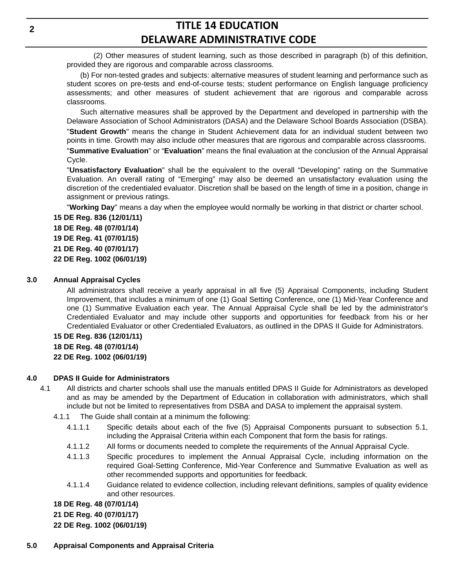(2) Other measures of student learning, such as those described in paragraph (b) of this definition, provided they are rigorous and comparable across classrooms.

(b) For non-tested grades and subjects: alternative measures of student learning and performance such as student scores on pre-tests and end-of-course tests; student performance on English language proficiency assessments; and other measures of student achievement that are rigorous and comparable across classrooms.

Such alternative measures shall be approved by the Department and developed in partnership with the Delaware Association of School Administrators (DASA) and the Delaware School Boards Association (DSBA).

"**Student Growth**" means the change in Student Achievement data for an individual student between two points in time. Growth may also include other measures that are rigorous and comparable across classrooms.

"**Summative Evaluation**" or "**Evaluation**" means the final evaluation at the conclusion of the Annual Appraisal Cycle.

"**Unsatisfactory Evaluation**" shall be the equivalent to the overall "Developing" rating on the Summative Evaluation. An overall rating of "Emerging" may also be deemed an unsatisfactory evaluation using the discretion of the credentialed evaluator. Discretion shall be based on the length of time in a position, change in assignment or previous ratings.

"**Working Day**" means a day when the employee would normally be working in that district or charter school.

**15 DE Reg. 836 (12/01/11) 18 DE Reg. 48 (07/01/14) 19 DE Reg. 41 (07/01/15) 21 DE Reg. 40 (07/01/17) 22 DE Reg. 1002 (06/01/19)**

#### **3.0 Annual Appraisal Cycles**

All administrators shall receive a yearly appraisal in all five (5) Appraisal Components, including Student Improvement, that includes a minimum of one (1) Goal Setting Conference, one (1) Mid-Year Conference and one (1) Summative Evaluation each year. The Annual Appraisal Cycle shall be led by the administrator's Credentialed Evaluator and may include other supports and opportunities for feedback from his or her Credentialed Evaluator or other Credentialed Evaluators, as outlined in the DPAS II Guide for Administrators.

**15 DE Reg. 836 (12/01/11)**

- **18 DE Reg. 48 (07/01/14)**
- **22 DE Reg. 1002 (06/01/19)**

#### **4.0 DPAS II Guide for Administrators**

- 4.1 All districts and charter schools shall use the manuals entitled DPAS II Guide for Administrators as developed and as may be amended by the Department of Education in collaboration with administrators, which shall include but not be limited to representatives from DSBA and DASA to implement the appraisal system.
	- 4.1.1 The Guide shall contain at a minimum the following:
		- 4.1.1.1 Specific details about each of the five (5) Appraisal Components pursuant to subsection 5.1, including the Appraisal Criteria within each Component that form the basis for ratings.
		- 4.1.1.2 All forms or documents needed to complete the requirements of the Annual Appraisal Cycle.
		- 4.1.1.3 Specific procedures to implement the Annual Appraisal Cycle, including information on the required Goal-Setting Conference, Mid-Year Conference and Summative Evaluation as well as other recommended supports and opportunities for feedback.
		- 4.1.1.4 Guidance related to evidence collection, including relevant definitions, samples of quality evidence and other resources.

**18 DE Reg. 48 (07/01/14)**

**21 DE Reg. 40 (07/01/17)**

**22 DE Reg. 1002 (06/01/19)**

**5.0 Appraisal Components and Appraisal Criteria**

**2**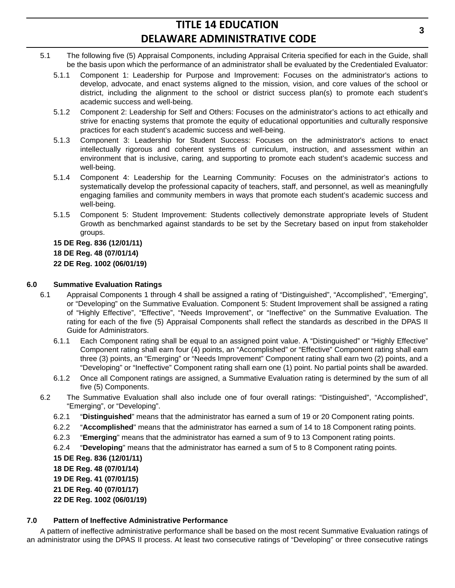- 5.1 The following five (5) Appraisal Components, including Appraisal Criteria specified for each in the Guide, shall be the basis upon which the performance of an administrator shall be evaluated by the Credentialed Evaluator:
	- 5.1.1 Component 1: Leadership for Purpose and Improvement: Focuses on the administrator's actions to develop, advocate, and enact systems aligned to the mission, vision, and core values of the school or district, including the alignment to the school or district success plan(s) to promote each student's academic success and well-being.
	- 5.1.2 Component 2: Leadership for Self and Others: Focuses on the administrator's actions to act ethically and strive for enacting systems that promote the equity of educational opportunities and culturally responsive practices for each student's academic success and well-being.
	- 5.1.3 Component 3: Leadership for Student Success: Focuses on the administrator's actions to enact intellectually rigorous and coherent systems of curriculum, instruction, and assessment within an environment that is inclusive, caring, and supporting to promote each student's academic success and well-being.
	- 5.1.4 Component 4: Leadership for the Learning Community: Focuses on the administrator's actions to systematically develop the professional capacity of teachers, staff, and personnel, as well as meaningfully engaging families and community members in ways that promote each student's academic success and well-being.
	- 5.1.5 Component 5: Student Improvement: Students collectively demonstrate appropriate levels of Student Growth as benchmarked against standards to be set by the Secretary based on input from stakeholder groups.

#### **15 DE Reg. 836 (12/01/11)**

**18 DE Reg. 48 (07/01/14)**

**22 DE Reg. 1002 (06/01/19)**

#### **6.0 Summative Evaluation Ratings**

- 6.1 Appraisal Components 1 through 4 shall be assigned a rating of "Distinguished", "Accomplished", "Emerging", or "Developing" on the Summative Evaluation. Component 5: Student Improvement shall be assigned a rating of "Highly Effective", "Effective", "Needs Improvement", or "Ineffective" on the Summative Evaluation. The rating for each of the five (5) Appraisal Components shall reflect the standards as described in the DPAS II Guide for Administrators.
	- 6.1.1 Each Component rating shall be equal to an assigned point value. A "Distinguished" or "Highly Effective" Component rating shall earn four (4) points, an "Accomplished" or "Effective" Component rating shall earn three (3) points, an "Emerging" or "Needs Improvement" Component rating shall earn two (2) points, and a "Developing" or "Ineffective" Component rating shall earn one (1) point. No partial points shall be awarded.
	- 6.1.2 Once all Component ratings are assigned, a Summative Evaluation rating is determined by the sum of all five (5) Components.
- 6.2 The Summative Evaluation shall also include one of four overall ratings: "Distinguished", "Accomplished", "Emerging", or "Developing".
	- 6.2.1 "**Distinguished**" means that the administrator has earned a sum of 19 or 20 Component rating points.
	- 6.2.2 "**Accomplished**" means that the administrator has earned a sum of 14 to 18 Component rating points.
	- 6.2.3 "**Emerging**" means that the administrator has earned a sum of 9 to 13 Component rating points.
	- 6.2.4 "**Developing**" means that the administrator has earned a sum of 5 to 8 Component rating points.

**15 DE Reg. 836 (12/01/11)**

**18 DE Reg. 48 (07/01/14)**

**19 DE Reg. 41 (07/01/15)**

**21 DE Reg. 40 (07/01/17)**

**22 DE Reg. 1002 (06/01/19)**

#### **7.0 Pattern of Ineffective Administrative Performance**

A pattern of ineffective administrative performance shall be based on the most recent Summative Evaluation ratings of an administrator using the DPAS II process. At least two consecutive ratings of "Developing" or three consecutive ratings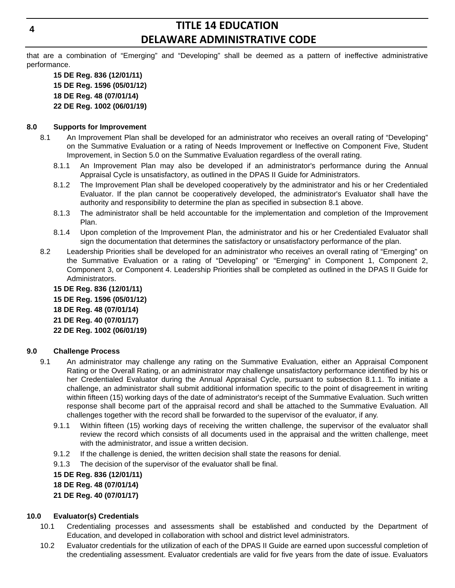that are a combination of "Emerging" and "Developing" shall be deemed as a pattern of ineffective administrative performance.

**15 DE Reg. 836 (12/01/11) 15 DE Reg. 1596 (05/01/12) 18 DE Reg. 48 (07/01/14) 22 DE Reg. 1002 (06/01/19)**

#### **8.0 Supports for Improvement**

- 8.1 An Improvement Plan shall be developed for an administrator who receives an overall rating of "Developing" on the Summative Evaluation or a rating of Needs Improvement or Ineffective on Component Five, Student Improvement, in Section 5.0 on the Summative Evaluation regardless of the overall rating.
	- 8.1.1 An Improvement Plan may also be developed if an administrator's performance during the Annual Appraisal Cycle is unsatisfactory, as outlined in the DPAS II Guide for Administrators.
	- 8.1.2 The Improvement Plan shall be developed cooperatively by the administrator and his or her Credentialed Evaluator. If the plan cannot be cooperatively developed, the administrator's Evaluator shall have the authority and responsibility to determine the plan as specified in subsection 8.1 above.
	- 8.1.3 The administrator shall be held accountable for the implementation and completion of the Improvement Plan.
	- 8.1.4 Upon completion of the Improvement Plan, the administrator and his or her Credentialed Evaluator shall sign the documentation that determines the satisfactory or unsatisfactory performance of the plan.
- 8.2 Leadership Priorities shall be developed for an administrator who receives an overall rating of "Emerging" on the Summative Evaluation or a rating of "Developing" or "Emerging" in Component 1, Component 2, Component 3, or Component 4. Leadership Priorities shall be completed as outlined in the DPAS II Guide for Administrators.

**15 DE Reg. 836 (12/01/11) 15 DE Reg. 1596 (05/01/12) 18 DE Reg. 48 (07/01/14) 21 DE Reg. 40 (07/01/17) 22 DE Reg. 1002 (06/01/19)**

#### **9.0 Challenge Process**

- 9.1 An administrator may challenge any rating on the Summative Evaluation, either an Appraisal Component Rating or the Overall Rating, or an administrator may challenge unsatisfactory performance identified by his or her Credentialed Evaluator during the Annual Appraisal Cycle, pursuant to subsection 8.1.1. To initiate a challenge, an administrator shall submit additional information specific to the point of disagreement in writing within fifteen (15) working days of the date of administrator's receipt of the Summative Evaluation. Such written response shall become part of the appraisal record and shall be attached to the Summative Evaluation. All challenges together with the record shall be forwarded to the supervisor of the evaluator, if any.
	- 9.1.1 Within fifteen (15) working days of receiving the written challenge, the supervisor of the evaluator shall review the record which consists of all documents used in the appraisal and the written challenge, meet with the administrator, and issue a written decision.
	- 9.1.2 If the challenge is denied, the written decision shall state the reasons for denial.
	- 9.1.3 The decision of the supervisor of the evaluator shall be final.

**15 DE Reg. 836 (12/01/11)**

**18 DE Reg. 48 (07/01/14)**

**21 DE Reg. 40 (07/01/17)**

#### **10.0 Evaluator(s) Credentials**

- 10.1 Credentialing processes and assessments shall be established and conducted by the Department of Education, and developed in collaboration with school and district level administrators.
- 10.2 Evaluator credentials for the utilization of each of the DPAS II Guide are earned upon successful completion of the credentialing assessment. Evaluator credentials are valid for five years from the date of issue. Evaluators

**4**